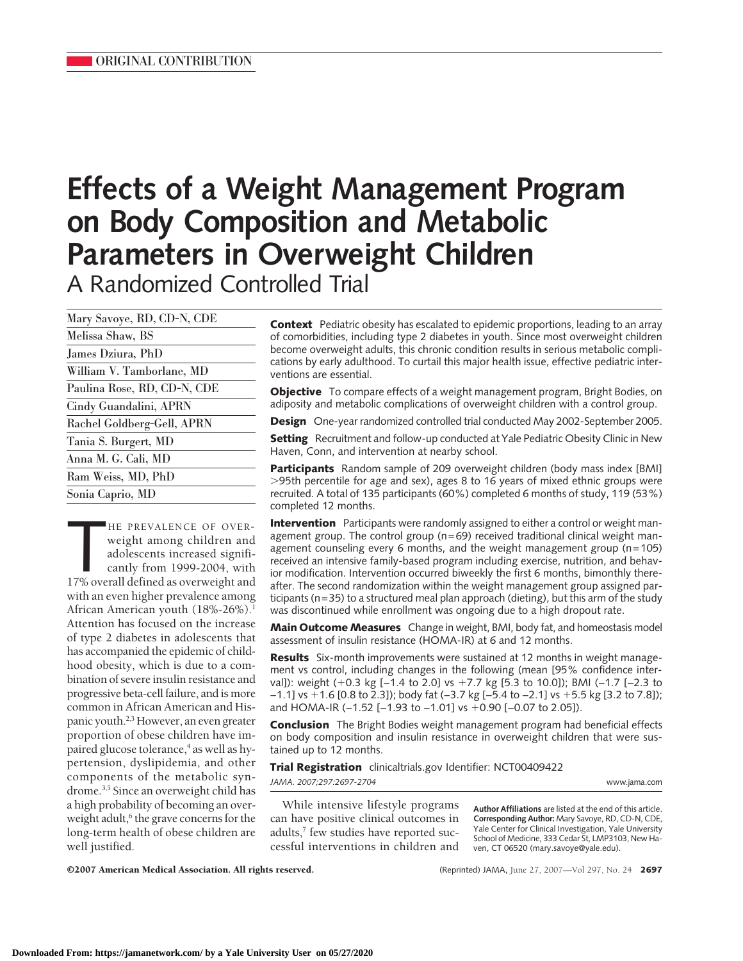# **Effects of a Weight Management Program on Body Composition and Metabolic Parameters in Overweight Children** A Randomized Controlled Trial

| Mary Savoye, RD, CD-N, CDE  |
|-----------------------------|
| Melissa Shaw, BS            |
| James Dziura, PhD           |
| William V. Tamborlane, MD   |
| Paulina Rose, RD, CD-N, CDE |
| Cindy Guandalini, APRN      |
| Rachel Goldberg-Gell, APRN  |
| Tania S. Burgert, MD        |
| Anna M. G. Cali, MD         |
| Ram Weiss, MD, PhD          |
| Sonia Caprio, MD            |

HE PREVALENCE OF OVER-<br>weight among children and<br>adolescents increased signifi-<br>cantly from 1999-2004, with<br>17% overall defined as overweight and HE PREVALENCE OF OVERweight among children and adolescents increased significantly from 1999-2004, with with an even higher prevalence among African American youth  $(18\% - 26\%)$ .<sup>1</sup> Attention has focused on the increase of type 2 diabetes in adolescents that has accompanied the epidemic of childhood obesity, which is due to a combination of severe insulin resistance and progressive beta-cell failure, and is more common in African American and Hispanic youth.2,3 However, an even greater proportion of obese children have impaired glucose tolerance, $4$  as well as hypertension, dyslipidemia, and other components of the metabolic syndrome.3,5 Since an overweight child has a high probability of becoming an overweight adult,<sup>6</sup> the grave concerns for the long-term health of obese children are well justified.

**Context** Pediatric obesity has escalated to epidemic proportions, leading to an array of comorbidities, including type 2 diabetes in youth. Since most overweight children become overweight adults, this chronic condition results in serious metabolic complications by early adulthood. To curtail this major health issue, effective pediatric interventions are essential.

**Objective** To compare effects of a weight management program, Bright Bodies, on adiposity and metabolic complications of overweight children with a control group.

**Design** One-year randomized controlled trial conducted May 2002-September 2005.

**Setting** Recruitment and follow-up conducted at Yale Pediatric Obesity Clinic in New Haven, Conn, and intervention at nearby school.

**Participants** Random sample of 209 overweight children (body mass index [BMI] 95th percentile for age and sex), ages 8 to 16 years of mixed ethnic groups were recruited. A total of 135 participants (60%) completed 6 months of study, 119 (53%) completed 12 months.

**Intervention** Participants were randomly assigned to either a control or weight management group. The control group  $(n=69)$  received traditional clinical weight management counseling every 6 months, and the weight management group (n=105) received an intensive family-based program including exercise, nutrition, and behavior modification. Intervention occurred biweekly the first 6 months, bimonthly thereafter. The second randomization within the weight management group assigned participants (n=35) to a structured meal plan approach (dieting), but this arm of the study was discontinued while enrollment was ongoing due to a high dropout rate.

**Main Outcome Measures** Change in weight, BMI, body fat, and homeostasis model assessment of insulin resistance (HOMA-IR) at 6 and 12 months.

**Results** Six-month improvements were sustained at 12 months in weight management vs control, including changes in the following (mean [95% confidence interval]): weight (+0.3 kg [−1.4 to 2.0] vs +7.7 kg [5.3 to 10.0]); BMI (−1.7 [−2.3 to −1.1] vs -1.6 [0.8 to 2.3]); body fat (−3.7 kg [−5.4 to −2.1] vs -5.5 kg [3.2 to 7.8]); and HOMA-IR (−1.52 [−1.93 to −1.01] vs -0.90 [−0.07 to 2.05]).

**Conclusion** The Bright Bodies weight management program had beneficial effects on body composition and insulin resistance in overweight children that were sustained up to 12 months.

**Trial Registration** clinicaltrials.gov Identifier: NCT00409422

*JAMA. 2007;297:2697-2704* www.jama.com

While intensive lifestyle programs can have positive clinical outcomes in adults,<sup>7</sup> few studies have reported successful interventions in children and

**Author Affiliations** are listed at the end of this article. **Corresponding Author:** Mary Savoye, RD, CD-N, CDE, Yale Center for Clinical Investigation, Yale University School of Medicine, 333 Cedar St, LMP3103, New Haven, CT 06520 (mary.savoye@yale.edu).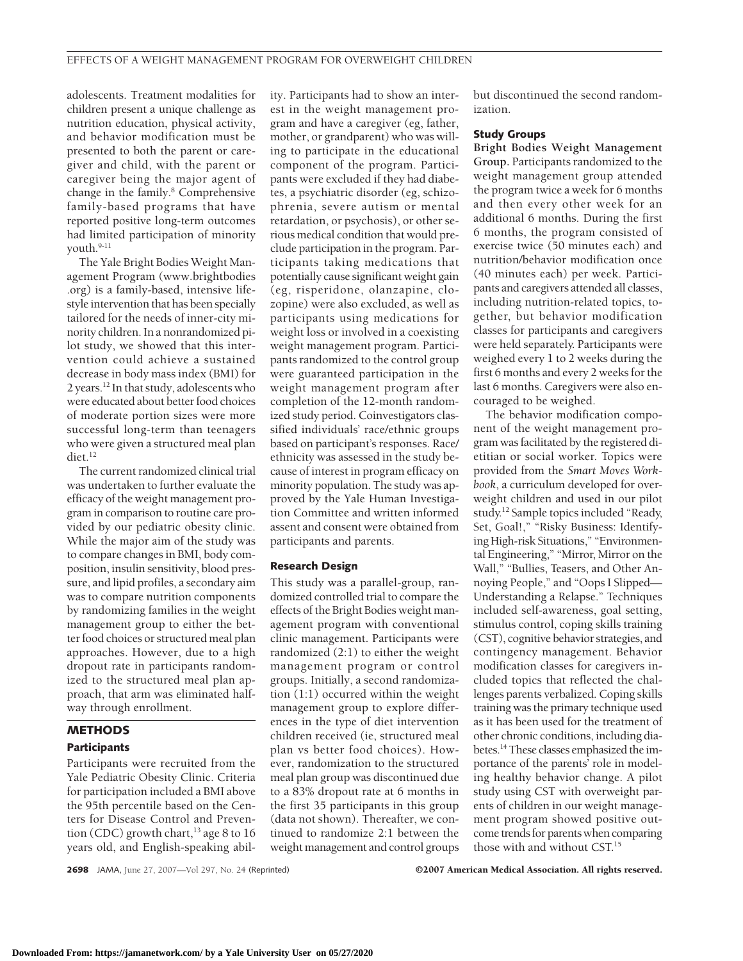adolescents. Treatment modalities for children present a unique challenge as nutrition education, physical activity, and behavior modification must be presented to both the parent or caregiver and child, with the parent or caregiver being the major agent of change in the family.<sup>8</sup> Comprehensive family-based programs that have reported positive long-term outcomes had limited participation of minority youth.9-11

The Yale Bright Bodies Weight Management Program (www.brightbodies .org) is a family-based, intensive lifestyle intervention that has been specially tailored for the needs of inner-city minority children. In a nonrandomized pilot study, we showed that this intervention could achieve a sustained decrease in body mass index (BMI) for 2 years.12 In that study, adolescents who were educated about better food choices of moderate portion sizes were more successful long-term than teenagers who were given a structured meal plan diet.<sup>12</sup>

The current randomized clinical trial was undertaken to further evaluate the efficacy of the weight management program in comparison to routine care provided by our pediatric obesity clinic. While the major aim of the study was to compare changes in BMI, body composition, insulin sensitivity, blood pressure, and lipid profiles, a secondary aim was to compare nutrition components by randomizing families in the weight management group to either the better food choices or structured meal plan approaches. However, due to a high dropout rate in participants randomized to the structured meal plan approach, that arm was eliminated halfway through enrollment.

## **METHODS**

## **Participants**

Participants were recruited from the Yale Pediatric Obesity Clinic. Criteria for participation included a BMI above the 95th percentile based on the Centers for Disease Control and Prevention (CDC) growth chart, $^{13}$  age 8 to 16 years old, and English-speaking ability. Participants had to show an interest in the weight management program and have a caregiver (eg, father, mother, or grandparent) who was willing to participate in the educational component of the program. Participants were excluded if they had diabetes, a psychiatric disorder (eg, schizophrenia, severe autism or mental retardation, or psychosis), or other serious medical condition that would preclude participation in the program. Participants taking medications that potentially cause significant weight gain (eg, risperidone, olanzapine, clozopine) were also excluded, as well as participants using medications for weight loss or involved in a coexisting weight management program. Participants randomized to the control group were guaranteed participation in the weight management program after completion of the 12-month randomized study period. Coinvestigators classified individuals' race/ethnic groups based on participant's responses. Race/ ethnicity was assessed in the study because of interest in program efficacy on minority population. The study was approved by the Yale Human Investigation Committee and written informed assent and consent were obtained from participants and parents.

#### **Research Design**

This study was a parallel-group, randomized controlled trial to compare the effects of the Bright Bodies weight management program with conventional clinic management. Participants were randomized (2:1) to either the weight management program or control groups. Initially, a second randomization (1:1) occurred within the weight management group to explore differences in the type of diet intervention children received (ie, structured meal plan vs better food choices). However, randomization to the structured meal plan group was discontinued due to a 83% dropout rate at 6 months in the first 35 participants in this group (data not shown). Thereafter, we continued to randomize 2:1 between the weight management and control groups

but discontinued the second randomization.

## **Study Groups**

**Bright Bodies Weight Management Group.** Participants randomized to the weight management group attended the program twice a week for 6 months and then every other week for an additional 6 months. During the first 6 months, the program consisted of exercise twice (50 minutes each) and nutrition/behavior modification once (40 minutes each) per week. Participants and caregivers attended all classes, including nutrition-related topics, together, but behavior modification classes for participants and caregivers were held separately. Participants were weighed every 1 to 2 weeks during the first 6 months and every 2 weeks for the last 6 months. Caregivers were also encouraged to be weighed.

The behavior modification component of the weight management program was facilitated by the registered dietitian or social worker. Topics were provided from the *Smart Moves Workbook*, a curriculum developed for overweight children and used in our pilot study.12 Sample topics included "Ready, Set, Goal!," "Risky Business: Identifying High-risk Situations," "Environmental Engineering," "Mirror, Mirror on the Wall," "Bullies, Teasers, and Other Annoying People," and "Oops I Slipped— Understanding a Relapse." Techniques included self-awareness, goal setting, stimulus control, coping skills training (CST), cognitive behavior strategies, and contingency management. Behavior modification classes for caregivers included topics that reflected the challenges parents verbalized. Coping skills training was the primary technique used as it has been used for the treatment of other chronic conditions, including diabetes.14These classes emphasized the importance of the parents' role in modeling healthy behavior change. A pilot study using CST with overweight parents of children in our weight management program showed positive outcome trends for parents when comparing those with and without CST.<sup>15</sup>

**2698** JAMA, June 27, 2007—Vol 297, No. 24 (Reprinted) ©2007 American Medical Association. All rights reserved.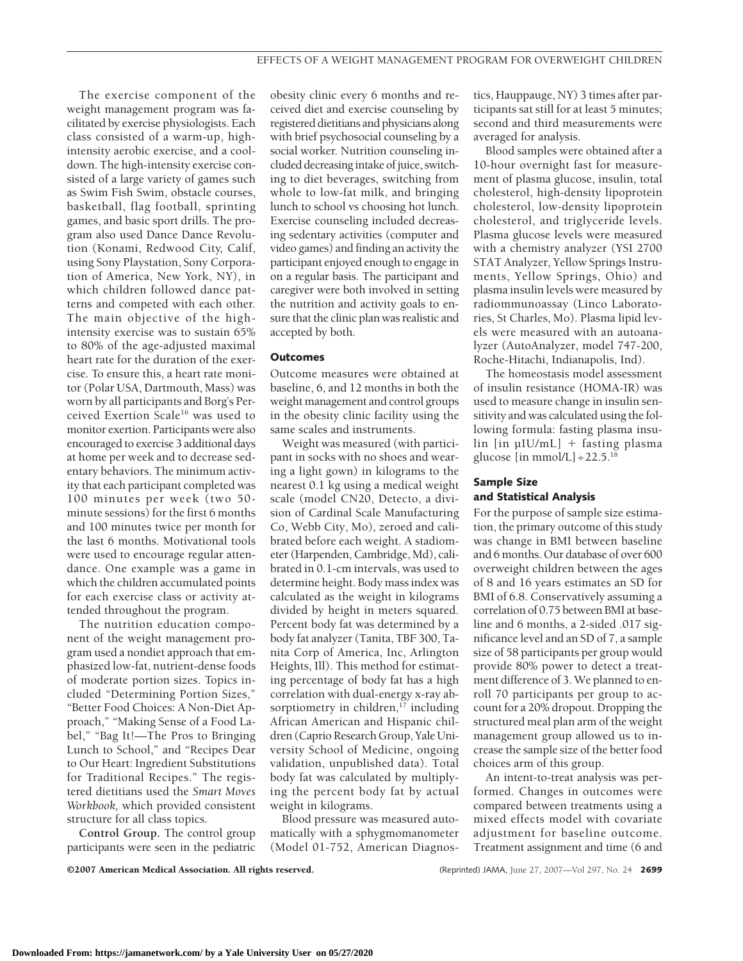The exercise component of the weight management program was facilitated by exercise physiologists. Each class consisted of a warm-up, highintensity aerobic exercise, and a cooldown. The high-intensity exercise consisted of a large variety of games such as Swim Fish Swim, obstacle courses, basketball, flag football, sprinting games, and basic sport drills. The program also used Dance Dance Revolution (Konami, Redwood City, Calif, using Sony Playstation, Sony Corporation of America, New York, NY), in which children followed dance patterns and competed with each other. The main objective of the highintensity exercise was to sustain 65% to 80% of the age-adjusted maximal heart rate for the duration of the exercise. To ensure this, a heart rate monitor (Polar USA, Dartmouth, Mass) was worn by all participants and Borg's Perceived Exertion Scale<sup>16</sup> was used to monitor exertion. Participants were also encouraged to exercise 3 additional days at home per week and to decrease sedentary behaviors. The minimum activity that each participant completed was 100 minutes per week (two 50 minute sessions) for the first 6 months and 100 minutes twice per month for the last 6 months. Motivational tools were used to encourage regular attendance. One example was a game in which the children accumulated points for each exercise class or activity attended throughout the program.

The nutrition education component of the weight management program used a nondiet approach that emphasized low-fat, nutrient-dense foods of moderate portion sizes. Topics included "Determining Portion Sizes," "Better Food Choices: A Non-Diet Approach," "Making Sense of a Food Label," "Bag It!—The Pros to Bringing Lunch to School," and "Recipes Dear to Our Heart: Ingredient Substitutions for Traditional Recipes." The registered dietitians used the *Smart Moves Workbook,* which provided consistent structure for all class topics.

**Control Group.** The control group participants were seen in the pediatric

obesity clinic every 6 months and received diet and exercise counseling by registered dietitians and physicians along with brief psychosocial counseling by a social worker. Nutrition counseling included decreasing intake of juice, switching to diet beverages, switching from whole to low-fat milk, and bringing lunch to school vs choosing hot lunch. Exercise counseling included decreasing sedentary activities (computer and video games) and finding an activity the participant enjoyed enough to engage in on a regular basis. The participant and caregiver were both involved in setting the nutrition and activity goals to ensure that the clinic plan was realistic and accepted by both.

#### **Outcomes**

Outcome measures were obtained at baseline, 6, and 12 months in both the weight management and control groups in the obesity clinic facility using the same scales and instruments.

Weight was measured (with participant in socks with no shoes and wearing a light gown) in kilograms to the nearest 0.1 kg using a medical weight scale (model CN20, Detecto, a division of Cardinal Scale Manufacturing Co, Webb City, Mo), zeroed and calibrated before each weight. A stadiometer (Harpenden, Cambridge, Md), calibrated in 0.1-cm intervals, was used to determine height. Body mass index was calculated as the weight in kilograms divided by height in meters squared. Percent body fat was determined by a body fat analyzer (Tanita, TBF 300, Tanita Corp of America, Inc, Arlington Heights, Ill). This method for estimating percentage of body fat has a high correlation with dual-energy x-ray absorptiometry in children, $17$  including African American and Hispanic children (Caprio Research Group, Yale University School of Medicine, ongoing validation, unpublished data). Total body fat was calculated by multiplying the percent body fat by actual weight in kilograms.

Blood pressure was measured automatically with a sphygmomanometer (Model 01-752, American Diagnos-

tics, Hauppauge, NY) 3 times after participants sat still for at least 5 minutes; second and third measurements were averaged for analysis.

Blood samples were obtained after a 10-hour overnight fast for measurement of plasma glucose, insulin, total cholesterol, high-density lipoprotein cholesterol, low-density lipoprotein cholesterol, and triglyceride levels. Plasma glucose levels were measured with a chemistry analyzer (YSI 2700 STAT Analyzer, Yellow Springs Instruments, Yellow Springs, Ohio) and plasma insulin levels were measured by radiommunoassay (Linco Laboratories, St Charles, Mo). Plasma lipid levels were measured with an autoanalyzer (AutoAnalyzer, model 747-200, Roche-Hitachi, Indianapolis, Ind).

The homeostasis model assessment of insulin resistance (HOMA-IR) was used to measure change in insulin sensitivity and was calculated using the following formula: fasting plasma insulin [in µIU/mL] + fasting plasma glucose [in mmol/L]  $\div$  22.5.<sup>18</sup>

## **Sample Size and Statistical Analysis**

For the purpose of sample size estimation, the primary outcome of this study was change in BMI between baseline and 6 months. Our database of over 600 overweight children between the ages of 8 and 16 years estimates an SD for BMI of 6.8. Conservatively assuming a correlation of 0.75 between BMI at baseline and 6 months, a 2-sided .017 significance level and an SD of 7, a sample size of 58 participants per group would provide 80% power to detect a treatment difference of 3. We planned to enroll 70 participants per group to account for a 20% dropout. Dropping the structured meal plan arm of the weight management group allowed us to increase the sample size of the better food choices arm of this group.

An intent-to-treat analysis was performed. Changes in outcomes were compared between treatments using a mixed effects model with covariate adjustment for baseline outcome. Treatment assignment and time (6 and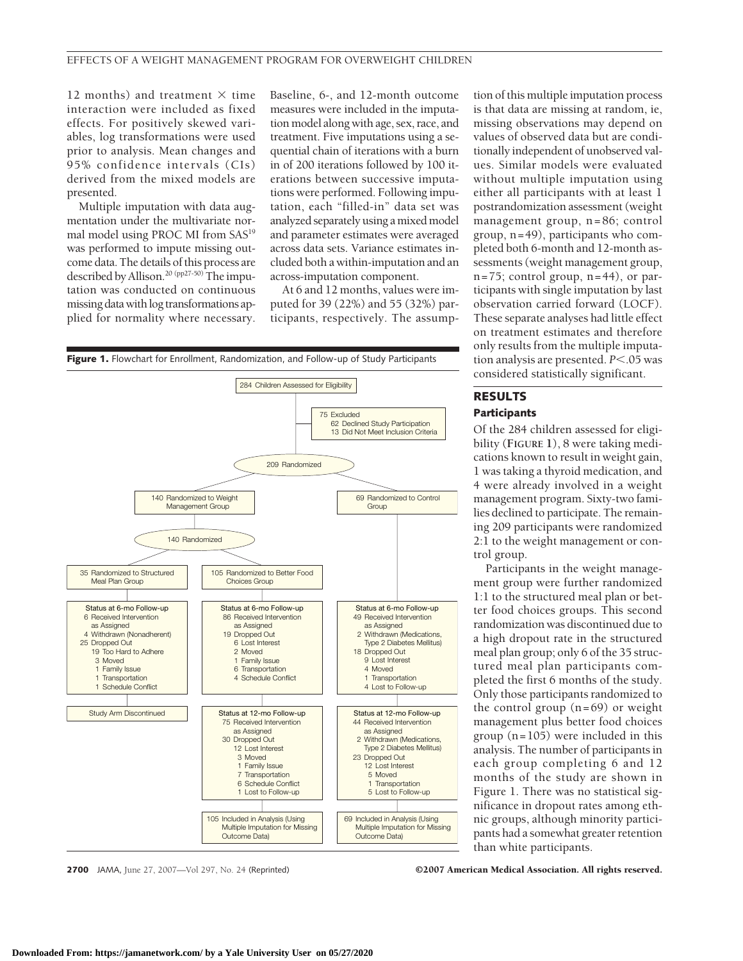12 months) and treatment  $\times$  time interaction were included as fixed effects. For positively skewed variables, log transformations were used prior to analysis. Mean changes and 95% confidence intervals (CIs) derived from the mixed models are presented.

Multiple imputation with data augmentation under the multivariate normal model using PROC MI from SAS<sup>19</sup> was performed to impute missing outcome data. The details of this process are described by Allison.<sup>20 (pp27-50)</sup> The imputation was conducted on continuous missing data with log transformations applied for normality where necessary.

Baseline, 6-, and 12-month outcome measures were included in the imputation model along with age, sex, race, and treatment. Five imputations using a sequential chain of iterations with a burn in of 200 iterations followed by 100 iterations between successive imputations were performed. Following imputation, each "filled-in" data set was analyzed separately using a mixed model and parameter estimates were averaged across data sets. Variance estimates included both a within-imputation and an across-imputation component.

At 6 and 12 months, values were imputed for 39 (22%) and 55 (32%) participants, respectively. The assump-



**2700** JAMA, June 27, 2007—Vol 297, No. 24 (Reprinted) ©2007 American Medical Association. All rights reserved.

tion of this multiple imputation process is that data are missing at random, ie, missing observations may depend on values of observed data but are conditionally independent of unobserved values. Similar models were evaluated without multiple imputation using either all participants with at least 1 postrandomization assessment (weight management group, n=86; control group, n=49), participants who completed both 6-month and 12-month assessments (weight management group, n=75; control group, n=44), or participants with single imputation by last observation carried forward (LOCF). These separate analyses had little effect on treatment estimates and therefore only results from the multiple imputation analysis are presented. *P*<.05 was considered statistically significant.

## **RESULTS**

## **Participants**

Of the 284 children assessed for eligibility (**FIGURE 1**), 8 were taking medications known to result in weight gain, 1 was taking a thyroid medication, and 4 were already involved in a weight management program. Sixty-two families declined to participate. The remaining 209 participants were randomized 2:1 to the weight management or control group.

Participants in the weight management group were further randomized 1:1 to the structured meal plan or better food choices groups. This second randomization was discontinued due to a high dropout rate in the structured meal plan group; only 6 of the 35 structured meal plan participants completed the first 6 months of the study. Only those participants randomized to the control group  $(n=69)$  or weight management plus better food choices group (n=105) were included in this analysis. The number of participants in each group completing 6 and 12 months of the study are shown in Figure 1. There was no statistical significance in dropout rates among ethnic groups, although minority participants had a somewhat greater retention than white participants.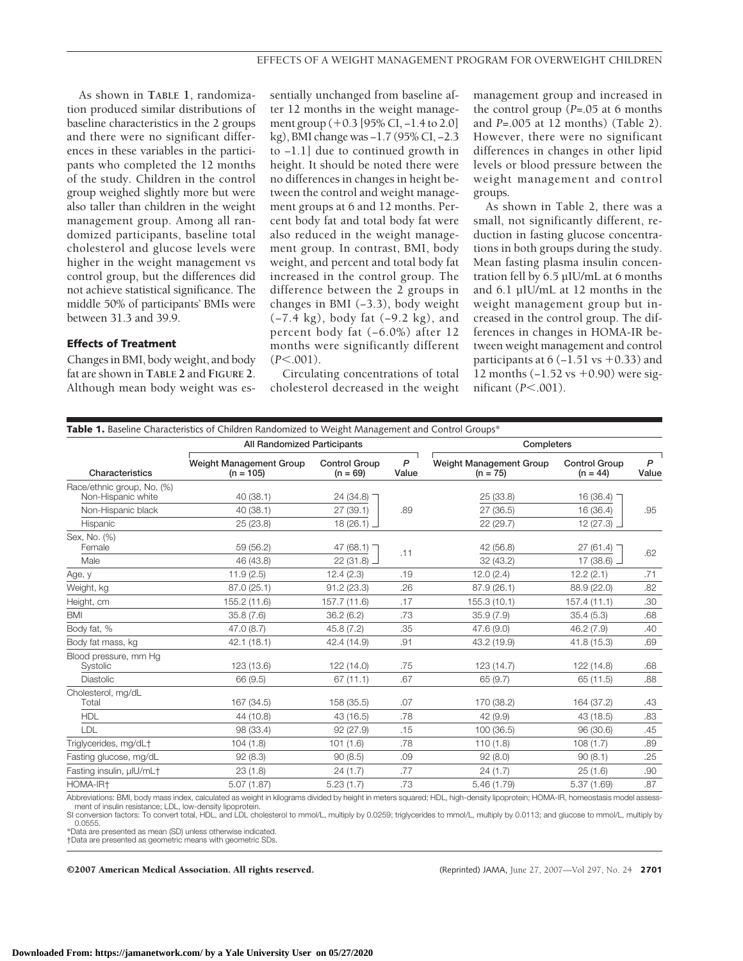As shown in **TABLE 1**, randomization produced similar distributions of baseline characteristics in the 2 groups and there were no significant differences in these variables in the participants who completed the 12 months of the study. Children in the control group weighed slightly more but were also taller than children in the weight management group. Among all randomized participants, baseline total cholesterol and glucose levels were higher in the weight management vs control group, but the differences did not achieve statistical significance. The middle 50% of participants' BMIs were between 31.3 and 39.9.

## **Effects of Treatment**

Changes in BMI, body weight, and body fat are shown in **TABLE 2** and **FIGURE 2**. Although mean body weight was essentially unchanged from baseline after 12 months in the weight management group (+0.3 [95% CI, -1.4 to 2.0] kg), BMI change was −1.7 (95% CI, −2.3 to −1.1] due to continued growth in height. It should be noted there were no differences in changes in height between the control and weight management groups at 6 and 12 months. Percent body fat and total body fat were also reduced in the weight management group. In contrast, BMI, body weight, and percent and total body fat increased in the control group. The difference between the 2 groups in changes in BMI (−3.3), body weight (−7.4 kg), body fat (−9.2 kg), and percent body fat (−6.0%) after 12 months were significantly different  $(P<.001)$ .

Circulating concentrations of total cholesterol decreased in the weight management group and increased in the control group (*P*=.05 at 6 months and *P*=.005 at 12 months) (Table 2). However, there were no significant differences in changes in other lipid levels or blood pressure between the weight management and control groups.

As shown in Table 2, there was a small, not significantly different, reduction in fasting glucose concentrations in both groups during the study. Mean fasting plasma insulin concentration fell by 6.5 µIU/mL at 6 months and 6.1 µIU/mL at 12 months in the weight management group but increased in the control group. The differences in changes in HOMA-IR between weight management and control participants at 6 (−1.51 vs +0.33) and 12 months (-1.52 vs +0.90) were significant (*P*<.001).

|                                                  | All Randomized Participants            |                                    |            | Completers                            |                                    |            |  |
|--------------------------------------------------|----------------------------------------|------------------------------------|------------|---------------------------------------|------------------------------------|------------|--|
| Characteristics                                  | Weight Management Group<br>$(n = 105)$ | <b>Control Group</b><br>$(n = 69)$ | P<br>Value | Weight Management Group<br>$(n = 75)$ | <b>Control Group</b><br>$(n = 44)$ | P<br>Value |  |
| Race/ethnic group, No. (%)<br>Non-Hispanic white | 40(38.1)                               | 24 (34.8)                          |            | 25 (33.8)                             | 16(36.4)                           |            |  |
| Non-Hispanic black                               | 40(38.1)                               | 27(39.1)                           | .89        | 27(36.5)                              | 16 (36.4)                          | .95        |  |
| Hispanic                                         | 25 (23.8)                              | $18(26.1)$ $-$                     |            | 22 (29.7)                             | $12(27.3)$ $-$                     |            |  |
| Sex. No. (%)<br>Female                           | 59 (56.2)                              | 47 $(68.1)$                        | .11        | 42 (56.8)                             | 27(61.4)                           | .62        |  |
| Male                                             | 46 (43.8)                              | 22(31.8)                           |            | 32 (43.2)                             | 17 $(38.6)$                        |            |  |
| Age, y                                           | 11.9(2.5)                              | 12.4(2.3)                          | .19        | 12.0(2.4)                             | 12.2(2.1)                          | .71        |  |
| Weight, kg                                       | 87.0 (25.1)                            | 91.2(23.3)                         | .26        | 87.9 (26.1)                           | 88.9 (22.0)                        | .82        |  |
| Height, cm                                       | 155.2 (11.6)                           | 157.7 (11.6)                       | .17        | 155.3(10.1)                           | 157.4 (11.1)                       | .30        |  |
| <b>BMI</b>                                       | 35.8(7.6)                              | 36.2(6.2)                          | .73        | 35.9(7.9)                             | 35.4(5.3)                          | .68        |  |
| Body fat, %                                      | 47.0 (8.7)                             | 45.8 (7.2)                         | .35        | 47.6 (9.0)                            | 46.2(7.9)                          | .40        |  |
| Body fat mass, kg                                | 42.1(18.1)                             | 42.4 (14.9)                        | .91        | 43.2 (19.9)                           | 41.8 (15.3)                        | .69        |  |
| Blood pressure, mm Hq<br>Systolic                | 123 (13.6)                             | 122 (14.0)                         | .75        | 123 (14.7)                            | 122 (14.8)                         | .68        |  |
| <b>Diastolic</b>                                 | 66 (9.5)                               | 67(11.1)                           | .67        | 65 (9.7)                              | 65 (11.5)                          | .88        |  |
| Cholesterol, mg/dL<br>Total                      | 167 (34.5)                             | 158 (35.5)                         | .07        | 170 (38.2)                            | 164 (37.2)                         | .43        |  |
| <b>HDL</b>                                       | 44 (10.8)                              | 43 (16.5)                          | .78        | 42(9.9)                               | 43 (18.5)                          | .83        |  |
| LDL                                              | 98 (33.4)                              | 92(27.9)                           | .15        | 100(36.5)                             | 96 (30.6)                          | .45        |  |
| Triglycerides, mg/dL+                            | 104(1.8)                               | 101(1.6)                           | .78        | 110(1.8)                              | 108(1.7)                           | .89        |  |
| Fasting glucose, mg/dL                           | 92(8.3)                                | 90(8.5)                            | .09        | 92(8.0)                               | 90(8.1)                            | .25        |  |
| Fasting insulin, µIU/mL+                         | 23(1.8)                                | 24(1.7)                            | .77        | 24(1.7)                               | 25(1.6)                            | .90        |  |
| HOMA-IR <sub>t</sub>                             | 5.07(1.87)                             | 5.23(1.7)                          | .73        | 5.46(1.79)                            | 5.37(1.69)                         | .87        |  |

ment of insulin resistance; LDL, low-density lipoprotein. SI conversion factors: To convert total, HDL, and LDL cholesterol to mmol/L, multiply by 0.0259; triglycerides to mmol/L, multiply by 0.0113; and glucose to mmol/L, multiply by

0.0555.

\*Data are presented as mean (SD) unless otherwise indicated. †Data are presented as geometric means with geometric SDs.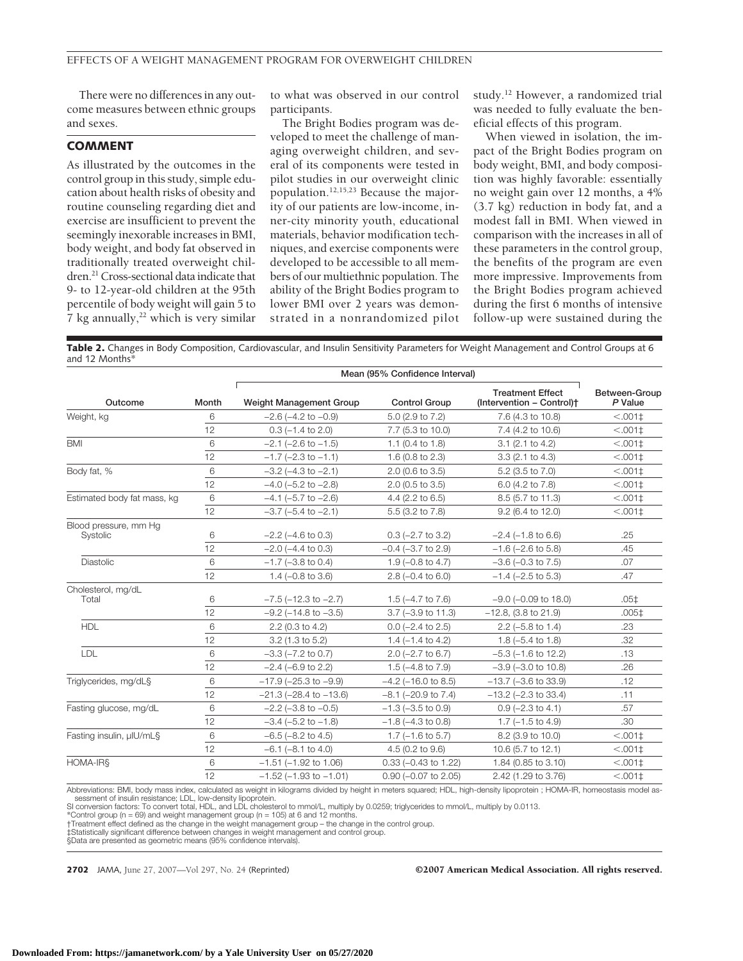There were no differences in any outcome measures between ethnic groups and sexes.

## **COMMENT**

As illustrated by the outcomes in the control group in this study, simple education about health risks of obesity and routine counseling regarding diet and exercise are insufficient to prevent the seemingly inexorable increases in BMI, body weight, and body fat observed in traditionally treated overweight children.<sup>21</sup> Cross-sectional data indicate that 9- to 12-year-old children at the 95th percentile of body weight will gain 5 to 7 kg annually, $22$  which is very similar

to what was observed in our control participants.

The Bright Bodies program was developed to meet the challenge of managing overweight children, and several of its components were tested in pilot studies in our overweight clinic population.12,15,23 Because the majority of our patients are low-income, inner-city minority youth, educational materials, behavior modification techniques, and exercise components were developed to be accessible to all members of our multiethnic population. The ability of the Bright Bodies program to lower BMI over 2 years was demonstrated in a nonrandomized pilot study.12 However, a randomized trial was needed to fully evaluate the beneficial effects of this program.

When viewed in isolation, the impact of the Bright Bodies program on body weight, BMI, and body composition was highly favorable: essentially no weight gain over 12 months, a 4% (3.7 kg) reduction in body fat, and a modest fall in BMI. When viewed in comparison with the increases in all of these parameters in the control group, the benefits of the program are even more impressive. Improvements from the Bright Bodies program achieved during the first 6 months of intensive follow-up were sustained during the

**Table 2.** Changes in Body Composition, Cardiovascular, and Insulin Sensitivity Parameters for Weight Management and Control Groups at 6 and 12 Months<sup>\*</sup>

|                                   |       | Mean (95% Confidence Interval) |                              |                                                      |                          |
|-----------------------------------|-------|--------------------------------|------------------------------|------------------------------------------------------|--------------------------|
| Outcome                           | Month | Weight Management Group        | <b>Control Group</b>         | <b>Treatment Effect</b><br>(Intervention - Control)+ | Between-Group<br>P Value |
| Weight, kg                        | 6     | $-2.6$ ( $-4.2$ to $-0.9$ )    | 5.0 (2.9 to 7.2)             | 7.6 (4.3 to 10.8)                                    | $< .001 \pm 1$           |
|                                   | 12    | $0.3(-1.4 \text{ to } 2.0)$    | 7.7 (5.3 to 10.0)            | 7.4 (4.2 to 10.6)                                    | $< .001 \pm 1$           |
| <b>BMI</b>                        | 6     | $-2.1$ ( $-2.6$ to $-1.5$ )    | 1.1 $(0.4 \text{ to } 1.8)$  | $3.1$ (2.1 to 4.2)                                   | $< .001 \pm 1$           |
|                                   | 12    | $-1.7$ ( $-2.3$ to $-1.1$ )    | 1.6 (0.8 to $2.3$ )          | $3.3(2.1 \text{ to } 4.3)$                           | $< .001 \pm$             |
| Body fat, %                       | 6     | $-3.2$ ( $-4.3$ to $-2.1$ )    | 2.0 (0.6 to 3.5)             | 5.2 (3.5 to 7.0)                                     | $< .001 \pm$             |
|                                   | 12    | $-4.0$ ( $-5.2$ to $-2.8$ )    | 2.0 (0.5 to 3.5)             | 6.0 (4.2 to 7.8)                                     | $< .001 \pm$             |
| Estimated body fat mass, kg       | 6     | $-4.1$ ( $-5.7$ to $-2.6$ )    | 4.4 (2.2 to 6.5)             | 8.5 (5.7 to 11.3)                                    | $< .001 \pm$             |
|                                   | 12    | $-3.7$ ( $-5.4$ to $-2.1$ )    | 5.5 (3.2 to 7.8)             | 9.2 (6.4 to 12.0)                                    | $< .001 \pm$             |
| Blood pressure, mm Hq<br>Systolic | 6     | $-2.2$ ( $-4.6$ to 0.3)        | $0.3$ (-2.7 to 3.2)          | $-2.4$ ( $-1.8$ to 6.6)                              | .25                      |
|                                   | 12    | $-2.0$ ( $-4.4$ to 0.3)        | $-0.4$ ( $-3.7$ to 2.9)      | $-1.6$ ( $-2.6$ to 5.8)                              | .45                      |
| Diastolic                         | 6     | $-1.7$ ( $-3.8$ to 0.4)        | $1.9(-0.8 \text{ to } 4.7)$  | $-3.6$ ( $-0.3$ to $7.5$ )                           | .07                      |
|                                   | 12    | $1.4 (-0.8 to 3.6)$            | $2.8(-0.4 \text{ to } 6.0)$  | $-1.4$ ( $-2.5$ to 5.3)                              | .47                      |
| Cholesterol, mg/dL<br>Total       | 6     | $-7.5$ ( $-12.3$ to $-2.7$ )   | 1.5 $(-4.7 \text{ to } 7.6)$ | $-9.0$ ( $-0.09$ to 18.0)                            | $.05+$                   |
|                                   | 12    | $-9.2$ ( $-14.8$ to $-3.5$ )   | $3.7$ (-3.9 to 11.3)         | $-12.8$ , (3.8 to 21.9)                              | .005 <sup>‡</sup>        |
| <b>HDL</b>                        | 6     | $2.2$ (0.3 to 4.2)             | $0.0$ (-2.4 to 2.5)          | $2.2$ (-5.8 to 1.4)                                  | .23                      |
|                                   | 12    | 3.2 (1.3 to 5.2)               | $1.4 (-1.4 to 4.2)$          | $1.8(-5.4 \text{ to } 1.8)$                          | .32                      |
| LDL                               | 6     | $-3.3$ ( $-7.2$ to 0.7)        | $2.0$ (-2.7 to 6.7)          | $-5.3$ ( $-1.6$ to 12.2)                             | .13                      |
|                                   | 12    | $-2.4$ ( $-6.9$ to 2.2)        | $1.5(-4.8 \text{ to } 7.9)$  | $-3.9$ ( $-3.0$ to 10.8)                             | .26                      |
| Triglycerides, mg/dL§             | 6     | $-17.9$ ( $-25.3$ to $-9.9$ )  | $-4.2$ ( $-16.0$ to 8.5)     | $-13.7$ ( $-3.6$ to 33.9)                            | .12                      |
|                                   | 12    | $-21.3$ ( $-28.4$ to $-13.6$ ) | $-8.1$ ( $-20.9$ to 7.4)     | $-13.2$ ( $-2.3$ to 33.4)                            | .11                      |
| Fasting glucose, mg/dL            | 6     | $-2.2$ ( $-3.8$ to $-0.5$ )    | $-1.3$ ( $-3.5$ to 0.9)      | $0.9$ ( $-2.3$ to 4.1)                               | .57                      |
|                                   | 12    | $-3.4$ ( $-5.2$ to $-1.8$ )    | $-1.8$ ( $-4.3$ to 0.8)      | $1.7$ (-1.5 to 4.9)                                  | .30                      |
| Fasting insulin, µIU/mL§          | 6     | $-6.5$ ( $-8.2$ to 4.5)        | $1.7$ (-1.6 to 5.7)          | 8.2 (3.9 to 10.0)                                    | $< .001 \pm$             |
|                                   | 12    | $-6.1$ ( $-8.1$ to 4.0)        | $4.5(0.2 \text{ to } 9.6)$   | 10.6 (5.7 to 12.1)                                   | $< .001 \pm$             |
| HOMA-IRS                          | 6     | $-1.51$ ( $-1.92$ to $1.06$ )  | $0.33$ (-0.43 to 1.22)       | 1.84 (0.85 to 3.10)                                  | $< .001 \pm$             |
|                                   | 12    | $-1.52$ ( $-1.93$ to $-1.01$ ) | $0.90$ (-0.07 to 2.05)       | 2.42 (1.29 to 3.76)                                  | $< .001 \pm$             |
|                                   |       |                                |                              |                                                      |                          |

Abbreviations: BMI, body mass index, calculated as weight in kilograms divided by height in meters squared; HDL, high-density lipoprotein ; HOMA-IR, homeostasis model as-<br>sessment of insulin resistance; LDL, low-density li

SI conversion factors: To convert total, HDL, and LDL cholesterol to mmol/L, multiply by 0.0259; triglycerides to mmol/L, multiply by 0.0113.

\*Control group (n = 69) and weight management group (n = 105) at 6 and 12 months. †Treatment effect defined as the change in the weight management group – the change in the control group.

‡Statistically significant difference between changes in weight management and control group.

§Data are presented as geometric means (95% confidence intervals).

**2702** JAMA, June 27, 2007—Vol 297, No. 24 (Reprinted) ©2007 American Medical Association. All rights reserved.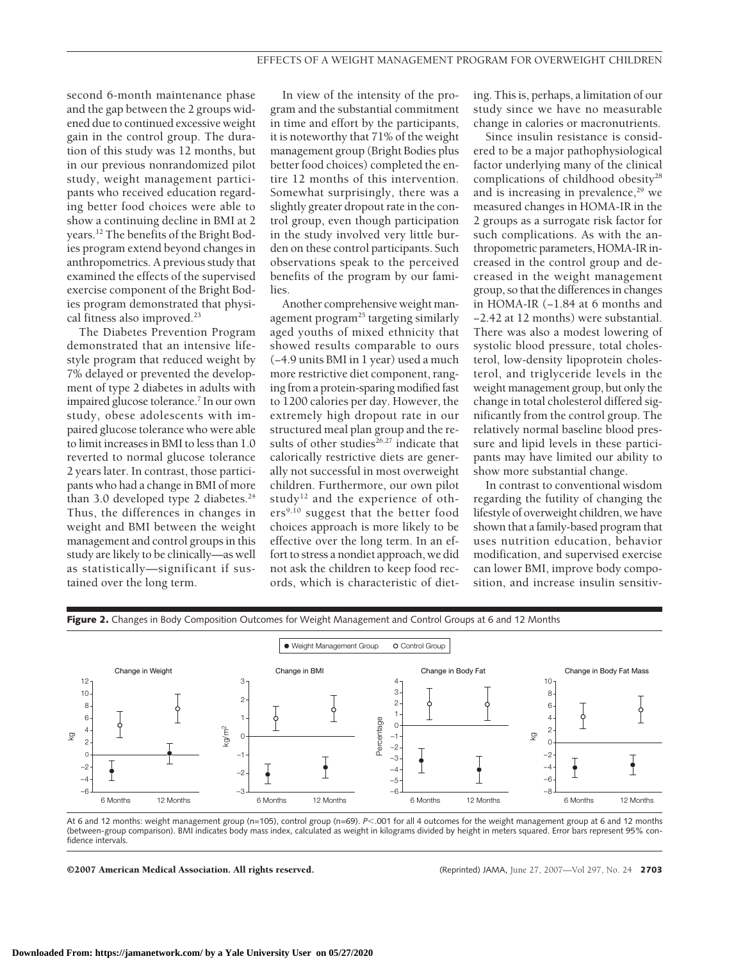second 6-month maintenance phase and the gap between the 2 groups widened due to continued excessive weight gain in the control group. The duration of this study was 12 months, but in our previous nonrandomized pilot study, weight management participants who received education regarding better food choices were able to show a continuing decline in BMI at 2 years.12 The benefits of the Bright Bodies program extend beyond changes in anthropometrics. A previous study that examined the effects of the supervised exercise component of the Bright Bodies program demonstrated that physical fitness also improved.<sup>23</sup>

The Diabetes Prevention Program demonstrated that an intensive lifestyle program that reduced weight by 7% delayed or prevented the development of type 2 diabetes in adults with impaired glucose tolerance.<sup>7</sup> In our own study, obese adolescents with impaired glucose tolerance who were able to limit increases in BMI to less than 1.0 reverted to normal glucose tolerance 2 years later. In contrast, those participants who had a change in BMI of more than 3.0 developed type 2 diabetes. $24$ Thus, the differences in changes in weight and BMI between the weight management and control groups in this study are likely to be clinically—as well as statistically—significant if sustained over the long term.

In view of the intensity of the program and the substantial commitment in time and effort by the participants, it is noteworthy that 71% of the weight management group (Bright Bodies plus better food choices) completed the entire 12 months of this intervention. Somewhat surprisingly, there was a slightly greater dropout rate in the control group, even though participation in the study involved very little burden on these control participants. Such observations speak to the perceived benefits of the program by our families.

Another comprehensive weight management program<sup>25</sup> targeting similarly aged youths of mixed ethnicity that showed results comparable to ours (−4.9 units BMI in 1 year) used a much more restrictive diet component, ranging from a protein-sparing modified fast to 1200 calories per day. However, the extremely high dropout rate in our structured meal plan group and the results of other studies<sup>26,27</sup> indicate that calorically restrictive diets are generally not successful in most overweight children. Furthermore, our own pilot study<sup>12</sup> and the experience of others<sup>9,10</sup> suggest that the better food choices approach is more likely to be effective over the long term. In an effort to stress a nondiet approach, we did not ask the children to keep food records, which is characteristic of diet-

ing. This is, perhaps, a limitation of our study since we have no measurable change in calories or macronutrients.

Since insulin resistance is considered to be a major pathophysiological factor underlying many of the clinical complications of childhood obesity<sup>28</sup> and is increasing in prevalence,<sup>29</sup> we measured changes in HOMA-IR in the 2 groups as a surrogate risk factor for such complications. As with the anthropometric parameters, HOMA-IR increased in the control group and decreased in the weight management group, so that the differences in changes in HOMA-IR (−1.84 at 6 months and −2.42 at 12 months) were substantial. There was also a modest lowering of systolic blood pressure, total cholesterol, low-density lipoprotein cholesterol, and triglyceride levels in the weight management group, but only the change in total cholesterol differed significantly from the control group. The relatively normal baseline blood pressure and lipid levels in these participants may have limited our ability to show more substantial change.

In contrast to conventional wisdom regarding the futility of changing the lifestyle of overweight children, we have shown that a family-based program that uses nutrition education, behavior modification, and supervised exercise can lower BMI, improve body composition, and increase insulin sensitiv-



At 6 and 12 months: weight management group (n=105), control group (n=69). *P*.001 for all 4 outcomes for the weight management group at 6 and 12 months (between-group comparison). BMI indicates body mass index, calculated as weight in kilograms divided by height in meters squared. Error bars represent 95% confidence intervals.